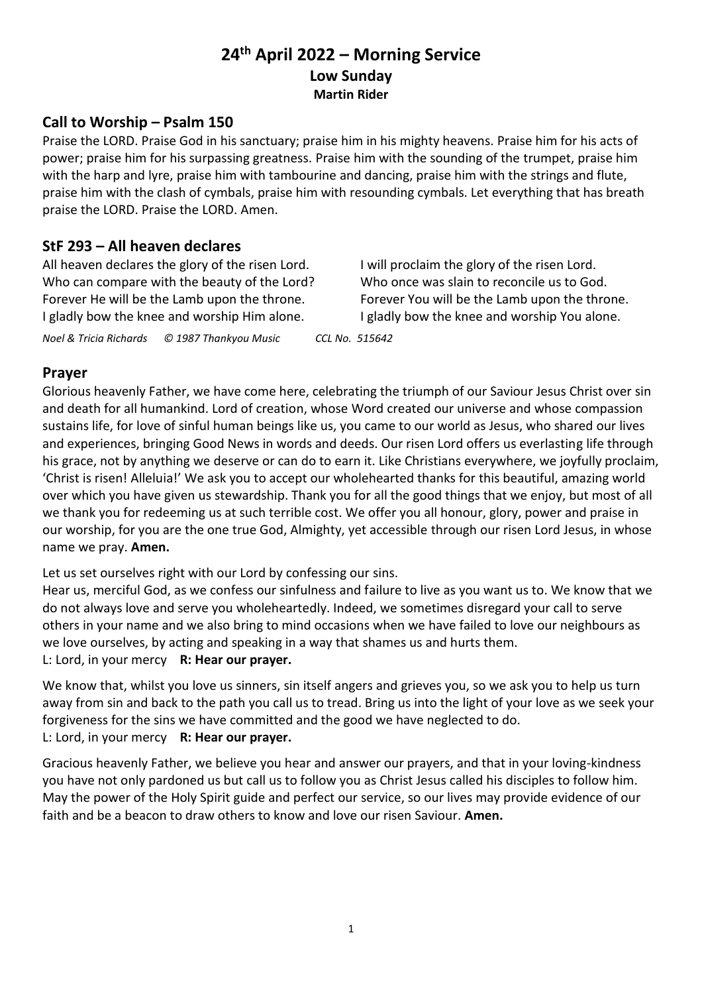## **24th April 2022 – Morning Service Low Sunday Martin Rider**

## **Call to Worship – Psalm 150**

Praise the LORD. Praise God in his sanctuary; praise him in his mighty heavens. Praise him for his acts of power; praise him for his surpassing greatness. Praise him with the sounding of the trumpet, praise him with the harp and lyre, praise him with tambourine and dancing, praise him with the strings and flute, praise him with the clash of cymbals, praise him with resounding cymbals. Let everything that has breath praise the LORD. Praise the LORD. Amen.

### **StF 293 – All heaven declares**

| All heaven declares the glory of the risen Lord. |                                              |  | I will proclaim the glory of the risen Lord.  |  |
|--------------------------------------------------|----------------------------------------------|--|-----------------------------------------------|--|
|                                                  | Who can compare with the beauty of the Lord? |  | Who once was slain to reconcile us to God.    |  |
| Forever He will be the Lamb upon the throne.     |                                              |  | Forever You will be the Lamb upon the throne. |  |
| I gladly bow the knee and worship Him alone.     |                                              |  | I gladly bow the knee and worship You alone.  |  |
| Noel & Tricia Richards                           | © 1987 Thankyou Music                        |  | CCL No. 515642                                |  |

### **Prayer**

Glorious heavenly Father, we have come here, celebrating the triumph of our Saviour Jesus Christ over sin and death for all humankind. Lord of creation, whose Word created our universe and whose compassion sustains life, for love of sinful human beings like us, you came to our world as Jesus, who shared our lives and experiences, bringing Good News in words and deeds. Our risen Lord offers us everlasting life through his grace, not by anything we deserve or can do to earn it. Like Christians everywhere, we joyfully proclaim, 'Christ is risen! Alleluia!' We ask you to accept our wholehearted thanks for this beautiful, amazing world over which you have given us stewardship. Thank you for all the good things that we enjoy, but most of all we thank you for redeeming us at such terrible cost. We offer you all honour, glory, power and praise in our worship, for you are the one true God, Almighty, yet accessible through our risen Lord Jesus, in whose name we pray. **Amen.**

Let us set ourselves right with our Lord by confessing our sins.

Hear us, merciful God, as we confess our sinfulness and failure to live as you want us to. We know that we do not always love and serve you wholeheartedly. Indeed, we sometimes disregard your call to serve others in your name and we also bring to mind occasions when we have failed to love our neighbours as we love ourselves, by acting and speaking in a way that shames us and hurts them. L: Lord, in your mercy **R: Hear our prayer.**

We know that, whilst you love us sinners, sin itself angers and grieves you, so we ask you to help us turn away from sin and back to the path you call us to tread. Bring us into the light of your love as we seek your forgiveness for the sins we have committed and the good we have neglected to do. L: Lord, in your mercy **R: Hear our prayer.**

Gracious heavenly Father, we believe you hear and answer our prayers, and that in your loving-kindness you have not only pardoned us but call us to follow you as Christ Jesus called his disciples to follow him. May the power of the Holy Spirit guide and perfect our service, so our lives may provide evidence of our faith and be a beacon to draw others to know and love our risen Saviour. **Amen.**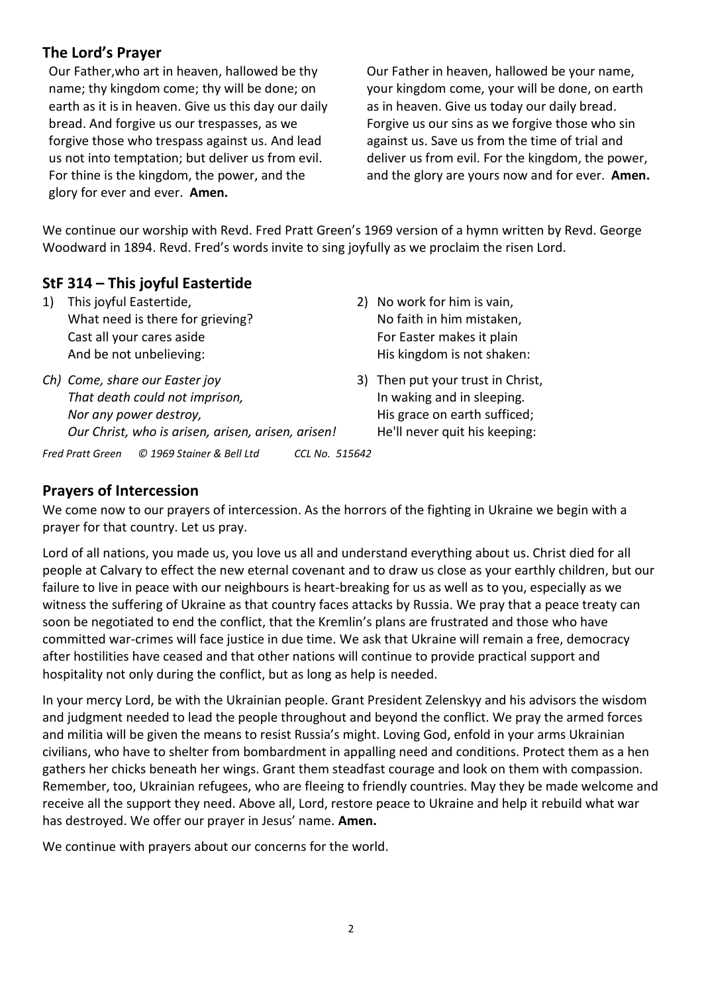## **The Lord's Prayer**

Our Father,who art in heaven, hallowed be thy name; thy kingdom come; thy will be done; on earth as it is in heaven. Give us this day our daily bread. And forgive us our trespasses, as we forgive those who trespass against us. And lead us not into temptation; but deliver us from evil. For thine is the kingdom, the power, and the glory for ever and ever. **Amen.**

Our Father in heaven, hallowed be your name, your kingdom come, your will be done, on earth as in heaven. Give us today our daily bread. Forgive us our sins as we forgive those who sin against us. Save us from the time of trial and deliver us from evil. For the kingdom, the power, and the glory are yours now and for ever. **Amen.**

We continue our worship with Revd. Fred Pratt Green's 1969 version of a hymn written by Revd. George Woodward in 1894. Revd. Fred's words invite to sing joyfully as we proclaim the risen Lord.

## **StF 314 – This joyful Eastertide**

- 1) This joyful Eastertide, What need is there for grieving? Cast all your cares aside And be not unbelieving:
- *Ch) Come, share our Easter joy That death could not imprison, Nor any power destroy, Our Christ, who is arisen, arisen, arisen, arisen!*

*Fred Pratt Green © 1969 Stainer & Bell Ltd CCL No. 515642*

- 2) No work for him is vain, No faith in him mistaken, For Easter makes it plain His kingdom is not shaken:
- 3) Then put your trust in Christ, In waking and in sleeping. His grace on earth sufficed; He'll never quit his keeping:

# **Prayers of Intercession**

We come now to our prayers of intercession. As the horrors of the fighting in Ukraine we begin with a prayer for that country. Let us pray.

Lord of all nations, you made us, you love us all and understand everything about us. Christ died for all people at Calvary to effect the new eternal covenant and to draw us close as your earthly children, but our failure to live in peace with our neighbours is heart-breaking for us as well as to you, especially as we witness the suffering of Ukraine as that country faces attacks by Russia. We pray that a peace treaty can soon be negotiated to end the conflict, that the Kremlin's plans are frustrated and those who have committed war-crimes will face justice in due time. We ask that Ukraine will remain a free, democracy after hostilities have ceased and that other nations will continue to provide practical support and hospitality not only during the conflict, but as long as help is needed.

In your mercy Lord, be with the Ukrainian people. Grant President Zelenskyy and his advisors the wisdom and judgment needed to lead the people throughout and beyond the conflict. We pray the armed forces and militia will be given the means to resist Russia's might. Loving God, enfold in your arms Ukrainian civilians, who have to shelter from bombardment in appalling need and conditions. Protect them as a hen gathers her chicks beneath her wings. Grant them steadfast courage and look on them with compassion. Remember, too, Ukrainian refugees, who are fleeing to friendly countries. May they be made welcome and receive all the support they need. Above all, Lord, restore peace to Ukraine and help it rebuild what war has destroyed. We offer our prayer in Jesus' name. **Amen.**

We continue with prayers about our concerns for the world.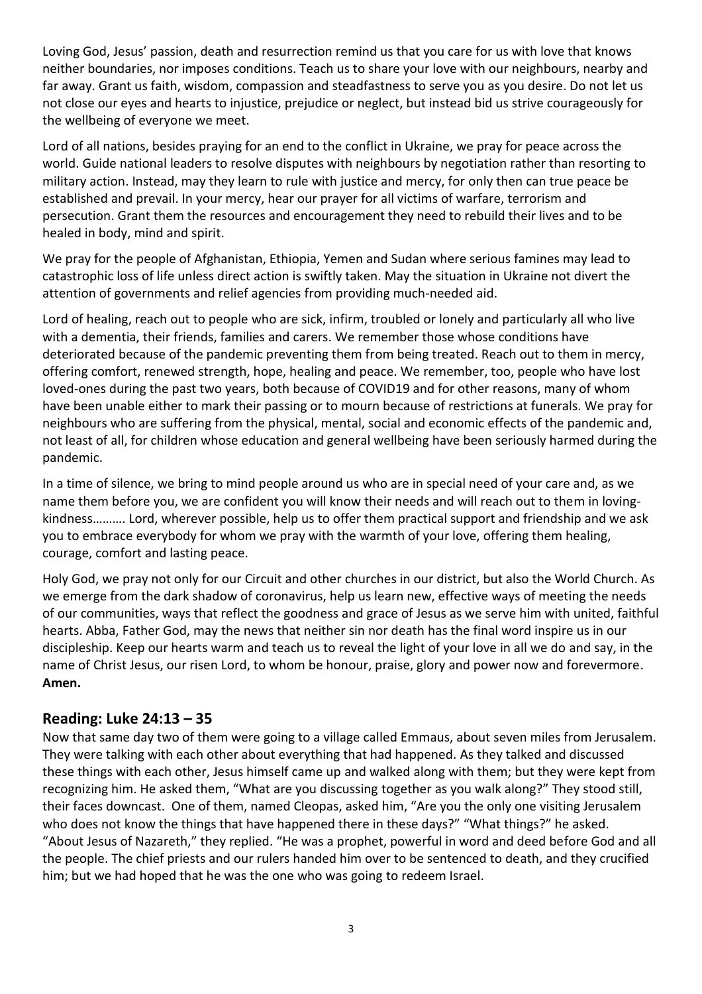Loving God, Jesus' passion, death and resurrection remind us that you care for us with love that knows neither boundaries, nor imposes conditions. Teach us to share your love with our neighbours, nearby and far away. Grant us faith, wisdom, compassion and steadfastness to serve you as you desire. Do not let us not close our eyes and hearts to injustice, prejudice or neglect, but instead bid us strive courageously for the wellbeing of everyone we meet.

Lord of all nations, besides praying for an end to the conflict in Ukraine, we pray for peace across the world. Guide national leaders to resolve disputes with neighbours by negotiation rather than resorting to military action. Instead, may they learn to rule with justice and mercy, for only then can true peace be established and prevail. In your mercy, hear our prayer for all victims of warfare, terrorism and persecution. Grant them the resources and encouragement they need to rebuild their lives and to be healed in body, mind and spirit.

We pray for the people of Afghanistan, Ethiopia, Yemen and Sudan where serious famines may lead to catastrophic loss of life unless direct action is swiftly taken. May the situation in Ukraine not divert the attention of governments and relief agencies from providing much-needed aid.

Lord of healing, reach out to people who are sick, infirm, troubled or lonely and particularly all who live with a dementia, their friends, families and carers. We remember those whose conditions have deteriorated because of the pandemic preventing them from being treated. Reach out to them in mercy, offering comfort, renewed strength, hope, healing and peace. We remember, too, people who have lost loved-ones during the past two years, both because of COVID19 and for other reasons, many of whom have been unable either to mark their passing or to mourn because of restrictions at funerals. We pray for neighbours who are suffering from the physical, mental, social and economic effects of the pandemic and, not least of all, for children whose education and general wellbeing have been seriously harmed during the pandemic.

In a time of silence, we bring to mind people around us who are in special need of your care and, as we name them before you, we are confident you will know their needs and will reach out to them in lovingkindness………. Lord, wherever possible, help us to offer them practical support and friendship and we ask you to embrace everybody for whom we pray with the warmth of your love, offering them healing, courage, comfort and lasting peace.

Holy God, we pray not only for our Circuit and other churches in our district, but also the World Church. As we emerge from the dark shadow of coronavirus, help us learn new, effective ways of meeting the needs of our communities, ways that reflect the goodness and grace of Jesus as we serve him with united, faithful hearts. Abba, Father God, may the news that neither sin nor death has the final word inspire us in our discipleship. Keep our hearts warm and teach us to reveal the light of your love in all we do and say, in the name of Christ Jesus, our risen Lord, to whom be honour, praise, glory and power now and forevermore. **Amen.**

### **Reading: Luke 24:13 – 35**

Now that same day two of them were going to a village called Emmaus, about seven miles from Jerusalem. They were talking with each other about everything that had happened. As they talked and discussed these things with each other, Jesus himself came up and walked along with them; but they were kept from recognizing him. He asked them, "What are you discussing together as you walk along?" They stood still, their faces downcast. One of them, named Cleopas, asked him, "Are you the only one visiting Jerusalem who does not know the things that have happened there in these days?" "What things?" he asked. "About Jesus of Nazareth," they replied. "He was a prophet, powerful in word and deed before God and all the people. The chief priests and our rulers handed him over to be sentenced to death, and they crucified him; but we had hoped that he was the one who was going to redeem Israel.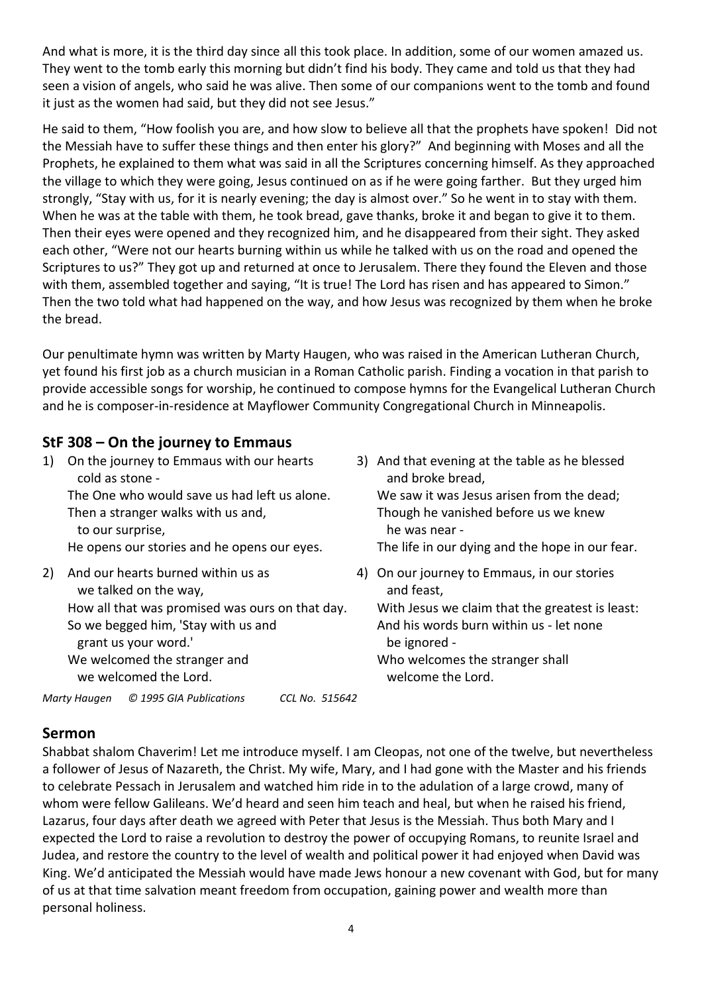And what is more, it is the third day since all this took place. In addition, some of our women amazed us. They went to the tomb early this morning but didn't find his body. They came and told us that they had seen a vision of angels, who said he was alive. Then some of our companions went to the tomb and found it just as the women had said, but they did not see Jesus."

He said to them, "How foolish you are, and how slow to believe all that the prophets have spoken! Did not the Messiah have to suffer these things and then enter his glory?" And beginning with Moses and all the Prophets, he explained to them what was said in all the Scriptures concerning himself. As they approached the village to which they were going, Jesus continued on as if he were going farther. But they urged him strongly, "Stay with us, for it is nearly evening; the day is almost over." So he went in to stay with them. When he was at the table with them, he took bread, gave thanks, broke it and began to give it to them. Then their eyes were opened and they recognized him, and he disappeared from their sight. They asked each other, "Were not our hearts burning within us while he talked with us on the road and opened the Scriptures to us?" They got up and returned at once to Jerusalem. There they found the Eleven and those with them, assembled together and saying, "It is true! The Lord has risen and has appeared to Simon." Then the two told what had happened on the way, and how Jesus was recognized by them when he broke the bread.

Our penultimate hymn was written by Marty Haugen, who was raised in the American Lutheran Church, yet found his first job as a church musician in a Roman Catholic parish. Finding a vocation in that parish to provide accessible songs for worship, he continued to compose hymns for the Evangelical Lutheran Church and he is composer-in-residence at Mayflower Community Congregational Church in Minneapolis.

## **StF 308 – On the journey to Emmaus**

1) On the journey to Emmaus with our hearts cold as stone - The One who would save us had left us alone. Then a stranger walks with us and, to our surprise,

He opens our stories and he opens our eyes.

2) And our hearts burned within us as we talked on the way, How all that was promised was ours on that day. So we begged him, 'Stay with us and grant us your word.' We welcomed the stranger and we welcomed the Lord.

3) And that evening at the table as he blessed and broke bread,

We saw it was Jesus arisen from the dead; Though he vanished before us we knew he was near -

The life in our dying and the hope in our fear.

4) On our journey to Emmaus, in our stories and feast, With Jesus we claim that the greatest is least: And his words burn within us - let none

 be ignored - Who welcomes the stranger shall welcome the Lord.

*Marty Haugen © 1995 GIA Publications CCL No. 515642*

## **Sermon**

Shabbat shalom Chaverim! Let me introduce myself. I am Cleopas, not one of the twelve, but nevertheless a follower of Jesus of Nazareth, the Christ. My wife, Mary, and I had gone with the Master and his friends to celebrate Pessach in Jerusalem and watched him ride in to the adulation of a large crowd, many of whom were fellow Galileans. We'd heard and seen him teach and heal, but when he raised his friend, Lazarus, four days after death we agreed with Peter that Jesus is the Messiah. Thus both Mary and I expected the Lord to raise a revolution to destroy the power of occupying Romans, to reunite Israel and Judea, and restore the country to the level of wealth and political power it had enjoyed when David was King. We'd anticipated the Messiah would have made Jews honour a new covenant with God, but for many of us at that time salvation meant freedom from occupation, gaining power and wealth more than personal holiness.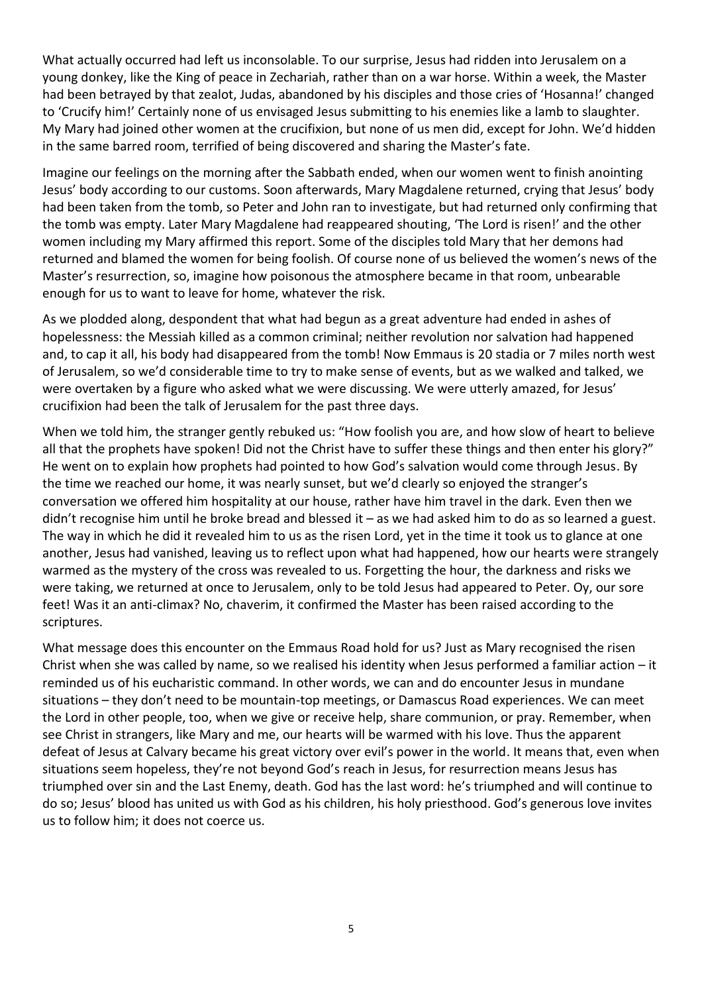What actually occurred had left us inconsolable. To our surprise, Jesus had ridden into Jerusalem on a young donkey, like the King of peace in Zechariah, rather than on a war horse. Within a week, the Master had been betrayed by that zealot, Judas, abandoned by his disciples and those cries of 'Hosanna!' changed to 'Crucify him!' Certainly none of us envisaged Jesus submitting to his enemies like a lamb to slaughter. My Mary had joined other women at the crucifixion, but none of us men did, except for John. We'd hidden in the same barred room, terrified of being discovered and sharing the Master's fate.

Imagine our feelings on the morning after the Sabbath ended, when our women went to finish anointing Jesus' body according to our customs. Soon afterwards, Mary Magdalene returned, crying that Jesus' body had been taken from the tomb, so Peter and John ran to investigate, but had returned only confirming that the tomb was empty. Later Mary Magdalene had reappeared shouting, 'The Lord is risen!' and the other women including my Mary affirmed this report. Some of the disciples told Mary that her demons had returned and blamed the women for being foolish. Of course none of us believed the women's news of the Master's resurrection, so, imagine how poisonous the atmosphere became in that room, unbearable enough for us to want to leave for home, whatever the risk.

As we plodded along, despondent that what had begun as a great adventure had ended in ashes of hopelessness: the Messiah killed as a common criminal; neither revolution nor salvation had happened and, to cap it all, his body had disappeared from the tomb! Now Emmaus is 20 stadia or 7 miles north west of Jerusalem, so we'd considerable time to try to make sense of events, but as we walked and talked, we were overtaken by a figure who asked what we were discussing. We were utterly amazed, for Jesus' crucifixion had been the talk of Jerusalem for the past three days.

When we told him, the stranger gently rebuked us: "How foolish you are, and how slow of heart to believe all that the prophets have spoken! Did not the Christ have to suffer these things and then enter his glory?" He went on to explain how prophets had pointed to how God's salvation would come through Jesus. By the time we reached our home, it was nearly sunset, but we'd clearly so enjoyed the stranger's conversation we offered him hospitality at our house, rather have him travel in the dark. Even then we didn't recognise him until he broke bread and blessed it – as we had asked him to do as so learned a guest. The way in which he did it revealed him to us as the risen Lord, yet in the time it took us to glance at one another, Jesus had vanished, leaving us to reflect upon what had happened, how our hearts were strangely warmed as the mystery of the cross was revealed to us. Forgetting the hour, the darkness and risks we were taking, we returned at once to Jerusalem, only to be told Jesus had appeared to Peter. Oy, our sore feet! Was it an anti-climax? No, chaverim, it confirmed the Master has been raised according to the scriptures.

What message does this encounter on the Emmaus Road hold for us? Just as Mary recognised the risen Christ when she was called by name, so we realised his identity when Jesus performed a familiar action  $-$  it reminded us of his eucharistic command. In other words, we can and do encounter Jesus in mundane situations – they don't need to be mountain-top meetings, or Damascus Road experiences. We can meet the Lord in other people, too, when we give or receive help, share communion, or pray. Remember, when see Christ in strangers, like Mary and me, our hearts will be warmed with his love. Thus the apparent defeat of Jesus at Calvary became his great victory over evil's power in the world. It means that, even when situations seem hopeless, they're not beyond God's reach in Jesus, for resurrection means Jesus has triumphed over sin and the Last Enemy, death. God has the last word: he's triumphed and will continue to do so; Jesus' blood has united us with God as his children, his holy priesthood. God's generous love invites us to follow him; it does not coerce us.